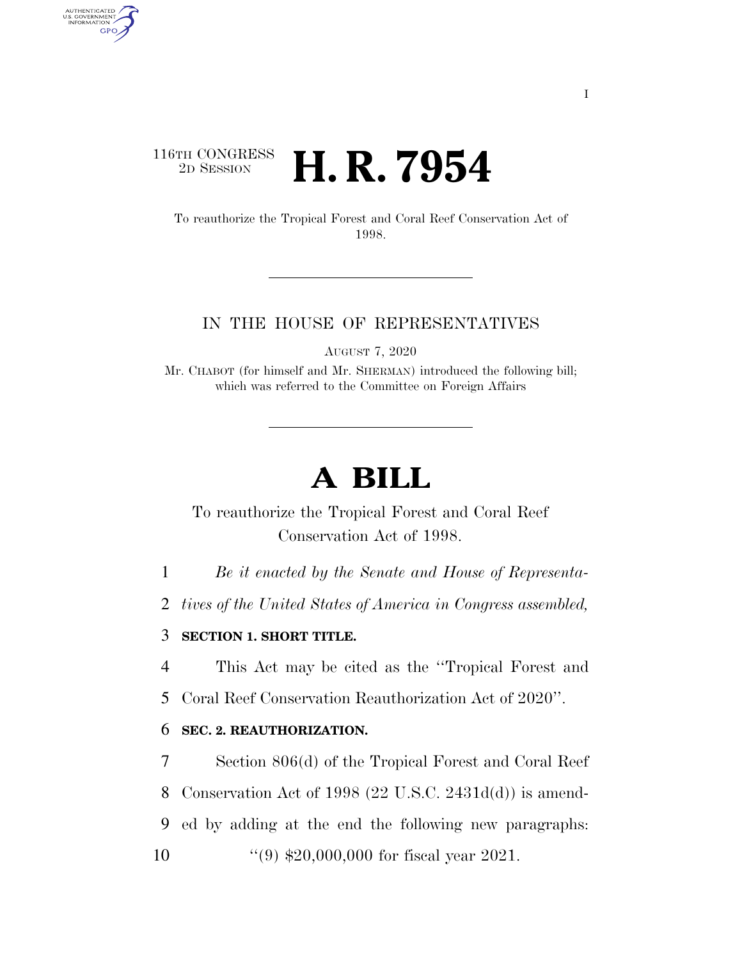# $\begin{array}{c} \textbf{116TH CONGRESS} \\ \textbf{2D SESION} \end{array}$ **H. R. 7954**

AUTHENTICATED<br>U.S. GOVERNMENT<br>INFORMATION **GPO** 

> To reauthorize the Tropical Forest and Coral Reef Conservation Act of 1998.

### IN THE HOUSE OF REPRESENTATIVES

AUGUST 7, 2020

Mr. CHABOT (for himself and Mr. SHERMAN) introduced the following bill; which was referred to the Committee on Foreign Affairs

# **A BILL**

To reauthorize the Tropical Forest and Coral Reef Conservation Act of 1998.

1 *Be it enacted by the Senate and House of Representa-*

2 *tives of the United States of America in Congress assembled,* 

## 3 **SECTION 1. SHORT TITLE.**

4 This Act may be cited as the ''Tropical Forest and

5 Coral Reef Conservation Reauthorization Act of 2020''.

### 6 **SEC. 2. REAUTHORIZATION.**

 Section 806(d) of the Tropical Forest and Coral Reef Conservation Act of 1998 (22 U.S.C. 2431d(d)) is amend- ed by adding at the end the following new paragraphs: ''(9) \$20,000,000 for fiscal year 2021.